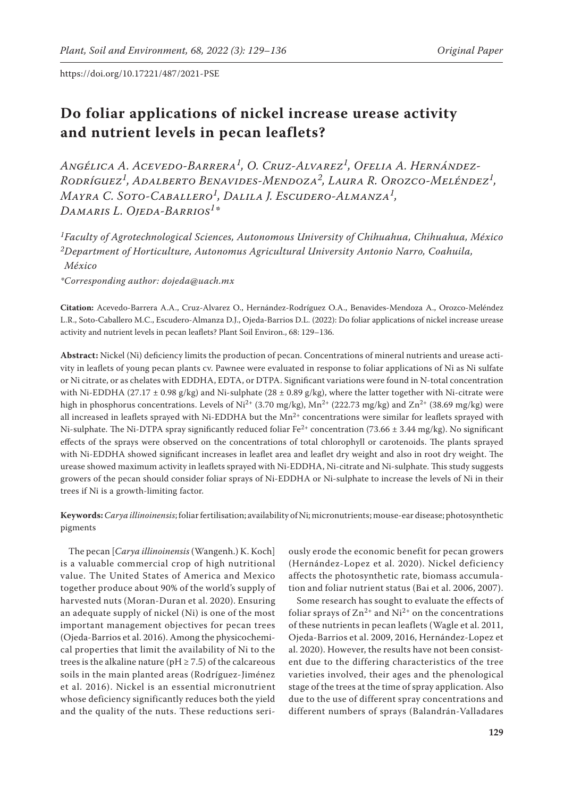# **Do foliar applications of nickel increase urease activity and nutrient levels in pecan leaflets?**

*Angélica A. Acevedo-Barrera1, O. Cruz-Alvarez1, Ofelia A. Hernández-Rodríguez1, Adalberto Benavides-Mendoza2, Laura R. Orozco-Meléndez1, Mayra C. Soto-Caballero1, Dalila J. Escudero-Almanza1, Damaris L. Ojeda-Barrios1\**

*1Faculty of Agrotechnological Sciences, Autonomous University of Chihuahua, Chihuahua, México 2Department of Horticulture, Autonomus Agricultural University Antonio Narro, Coahuila, México*

*\*Corresponding author: dojeda@uach.mx*

**Citation:** Acevedo-Barrera A.A., Cruz-Alvarez O., Hernández-Rodríguez O.A., Benavides-Mendoza A., Orozco-Meléndez L.R., Soto-Caballero M.C., Escudero-Almanza D.J., Ojeda-Barrios D.L. (2022): Do foliar applications of nickel increase urease activity and nutrient levels in pecan leaflets? Plant Soil Environ., 68: 129–136.

**Abstract:** Nickel (Ni) deficiency limits the production of pecan. Concentrations of mineral nutrients and urease activity in leaflets of young pecan plants cv. Pawnee were evaluated in response to foliar applications of Ni as Ni sulfate or Ni citrate, or as chelates with EDDHA, EDTA, or DTPA. Significant variations were found in N-total concentration with Ni-EDDHA (27.17  $\pm$  0.98 g/kg) and Ni-sulphate (28  $\pm$  0.89 g/kg), where the latter together with Ni-citrate were high in phosphorus concentrations. Levels of Ni<sup>2+</sup> (3.70 mg/kg), Mn<sup>2+</sup> (222.73 mg/kg) and Zn<sup>2+</sup> (38.69 mg/kg) were all increased in leaflets sprayed with Ni-EDDHA but the  $Mn^{2+}$  concentrations were similar for leaflets sprayed with Ni-sulphate. The Ni-DTPA spray significantly reduced foliar  $Fe^{2+}$  concentration (73.66  $\pm$  3.44 mg/kg). No significant effects of the sprays were observed on the concentrations of total chlorophyll or carotenoids. The plants sprayed with Ni-EDDHA showed significant increases in leaflet area and leaflet dry weight and also in root dry weight. The urease showed maximum activity in leaflets sprayed with Ni-EDDHA, Ni-citrate and Ni-sulphate. This study suggests growers of the pecan should consider foliar sprays of Ni-EDDHA or Ni-sulphate to increase the levels of Ni in their trees if Ni is a growth-limiting factor.

# **Keywords:***Carya illinoinensis*; foliar fertilisation; availability of Ni; micronutrients; mouse-ear disease; photosynthetic pigments

The pecan [*Carya illinoinensis* (Wangenh.) K. Koch] is a valuable commercial crop of high nutritional value. The United States of America and Mexico together produce about 90% of the world's supply of harvested nuts (Moran-Duran et al. 2020). Ensuring an adequate supply of nickel (Ni) is one of the most important management objectives for pecan trees (Ojeda-Barrios et al. 2016). Among the physicochemical properties that limit the availability of Ni to the trees is the alkaline nature ( $pH \ge 7.5$ ) of the calcareous soils in the main planted areas (Rodríguez-Jiménez et al. 2016). Nickel is an essential micronutrient whose deficiency significantly reduces both the yield and the quality of the nuts. These reductions seri-

ously erode the economic benefit for pecan growers (Hernández-Lopez et al. 2020). Nickel deficiency affects the photosynthetic rate, biomass accumulation and foliar nutrient status (Bai et al. 2006, 2007).

Some research has sought to evaluate the effects of foliar sprays of  $\text{Zn}^{2+}$  and  $\text{Ni}^{2+}$  on the concentrations of these nutrients in pecan leaflets (Wagle et al. 2011, Ojeda-Barrios et al. 2009, 2016, Hernández-Lopez et al. 2020). However, the results have not been consistent due to the differing characteristics of the tree varieties involved, their ages and the phenological stage of the trees at the time of spray application. Also due to the use of different spray concentrations and different numbers of sprays (Balandrán-Valladares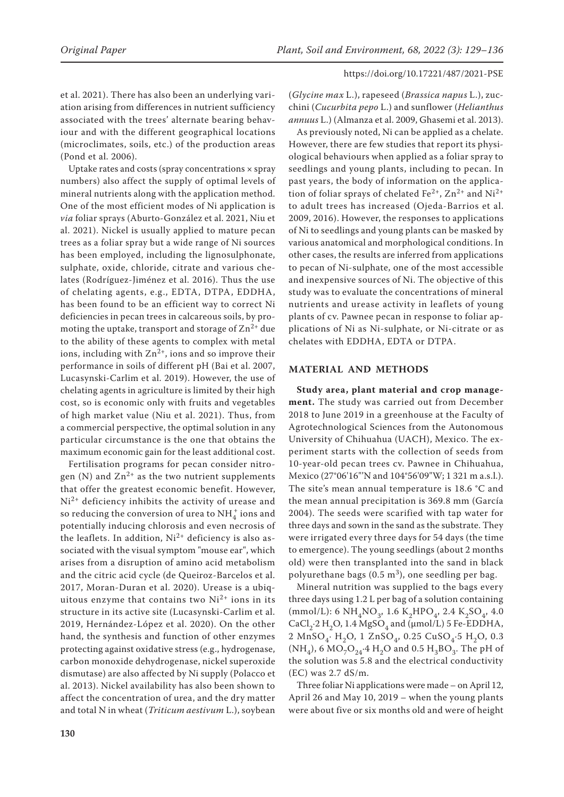et al. 2021). There has also been an underlying variation arising from differences in nutrient sufficiency associated with the trees' alternate bearing behaviour and with the different geographical locations (microclimates, soils, etc.) of the production areas (Pond et al. 2006).

Uptake rates and costs (spray concentrations  $\times$  spray numbers) also affect the supply of optimal levels of mineral nutrients along with the application method. One of the most efficient modes of Ni application is *via* foliar sprays (Aburto-González et al. 2021, Niu et al. 2021). Nickel is usually applied to mature pecan trees as a foliar spray but a wide range of Ni sources has been employed, including the lignosulphonate, sulphate, oxide, chloride, citrate and various chelates (Rodríguez-Jiménez et al. 2016). Thus the use of chelating agents, e.g., EDTA, DTPA, EDDHA, has been found to be an efficient way to correct Ni deficiencies in pecan trees in calcareous soils, by promoting the uptake, transport and storage of  $\text{Zn}^{2+}$  due to the ability of these agents to complex with metal ions, including with  $Zn^{2+}$ , ions and so improve their performance in soils of different pH (Bai et al. 2007, Lucasynski-Carlim et al. 2019). However, the use of chelating agents in agriculture is limited by their high cost, so is economic only with fruits and vegetables of high market value (Niu et al. 2021). Thus, from a commercial perspective, the optimal solution in any particular circumstance is the one that obtains the maximum economic gain for the least additional cost.

Fertilisation programs for pecan consider nitrogen (N) and  $\text{Zn}^{2+}$  as the two nutrient supplements that offer the greatest economic benefit. However, Ni<sup>2+</sup> deficiency inhibits the activity of urease and so reducing the conversion of urea to  $\mathrm{NH}_4^+$  ions and potentially inducing chlorosis and even necrosis of the leaflets. In addition,  $Ni^{2+}$  deficiency is also associated with the visual symptom "mouse ear", which arises from a disruption of amino acid metabolism and the citric acid cycle (de Queiroz-Barcelos et al. 2017, Moran-Duran et al. 2020). Urease is a ubiquitous enzyme that contains two  $Ni<sup>2+</sup>$  ions in its structure in its active site (Lucasynski-Carlim et al. 2019, Hernández-López et al. 2020). On the other hand, the synthesis and function of other enzymes protecting against oxidative stress (e.g., hydrogenase, carbon monoxide dehydrogenase, nickel superoxide dismutase) are also affected by Ni supply (Polacco et al. 2013). Nickel availability has also been shown to affect the concentration of urea, and the dry matter and total N in wheat (*Triticum aestivum* L.), soybean

(*Glycine max* L.), rapeseed (*Brassica napus* L.), zucchini (*Cucurbita pepo* L.) and sunflower (*Helianthus annuus* L.) (Almanza et al. 2009, Ghasemi et al. 2013).

As previously noted, Ni can be applied as a chelate. However, there are few studies that report its physiological behaviours when applied as a foliar spray to seedlings and young plants, including to pecan. In past years, the body of information on the application of foliar sprays of chelated Fe<sup>2+</sup>,  $\text{Zn}^{2+}$  and  $\text{Ni}^{2+}$ to adult trees has increased (Ojeda-Barrios et al. 2009, 2016). However, the responses to applications of Ni to seedlings and young plants can be masked by various anatomical and morphological conditions. In other cases, the results are inferred from applications to pecan of Ni-sulphate, one of the most accessible and inexpensive sources of Ni. The objective of this study was to evaluate the concentrations of mineral nutrients and urease activity in leaflets of young plants of cv. Pawnee pecan in response to foliar applications of Ni as Ni-sulphate, or Ni-citrate or as chelates with EDDHA, EDTA or DTPA.

# **MATERIAL AND METHODS**

**Study area, plant material and crop management.** The study was carried out from December 2018 to June 2019 in a greenhouse at the Faculty of Agrotechnological Sciences from the Autonomous University of Chihuahua (UACH), Mexico. The experiment starts with the collection of seeds from 10-year-old pecan trees cv. Pawnee in Chihuahua, Mexico (27°06'16"'N and 104°56'09"W; 1 321 m a.s.l.). The site's mean annual temperature is 18.6 °C and the mean annual precipitation is 369.8 mm (García 2004). The seeds were scarified with tap water for three days and sown in the sand as the substrate. They were irrigated every three days for 54 days (the time to emergence). The young seedlings (about 2 months old) were then transplanted into the sand in black polyurethane bags  $(0.5 \text{ m}^3)$ , one seedling per bag.

Mineral nutrition was supplied to the bags every three days using 1.2 L per bag of a solution containing (mmol/L): 6 NH<sub>4</sub>NO<sub>3</sub>, 1.6 K<sub>2</sub>HPO<sub>4</sub>, 2.4 K<sub>2</sub>SO<sub>4</sub>, 4.0 CaCl<sub>2</sub>⋅2 H<sub>2</sub>O, 1.4 MgSO<sub>4</sub> and (µmol/L) 5 Fe-EDDHA, 2 MnSO<sub>4</sub>∙ H<sub>2</sub>O, 1 ZnSO<sub>4</sub>, 0.25 CuSO<sub>4</sub>⋅5 H<sub>2</sub>O, 0.3 (NH<sub>4</sub>), 6 MO<sub>7</sub>O<sub>24</sub>⋅4 H<sub>2</sub>O and 0.5 H<sub>3</sub>BO<sub>3</sub>. The pH of the solution was 5.8 and the electrical conductivity (EC) was 2.7 dS/m.

Three foliar Ni applications were made – on April 12, April 26 and May 10, 2019 – when the young plants were about five or six months old and were of height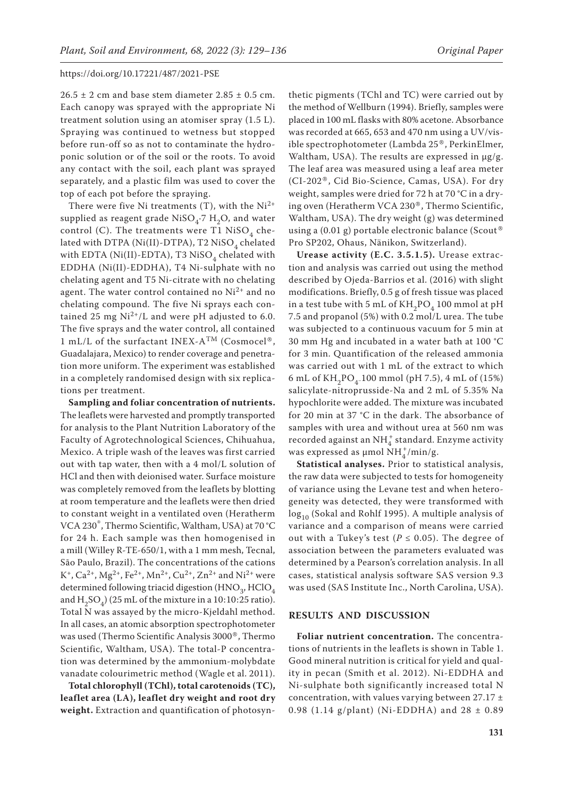$26.5 \pm 2$  cm and base stem diameter  $2.85 \pm 0.5$  cm. Each canopy was sprayed with the appropriate Ni treatment solution using an atomiser spray (1.5 L). Spraying was continued to wetness but stopped before run-off so as not to contaminate the hydroponic solution or of the soil or the roots. To avoid any contact with the soil, each plant was sprayed separately, and a plastic film was used to cover the top of each pot before the spraying.

There were five Ni treatments  $(T)$ , with the Ni<sup>2+</sup> supplied as reagent grade NiSO<sub>4</sub>⋅7 H<sub>2</sub>O, and water control (C). The treatments were T1 NiSO<sub>4</sub> chelated with DTPA (Ni(II)-DTPA), T2 NiSO<sub>4</sub> chelated with EDTA (Ni(II)-EDTA), T3 NiSO<sub>4</sub> chelated with EDDHA (Ni(II)-EDDHA), T4 Ni-sulphate with no chelating agent and T5 Ni-citrate with no chelating agent. The water control contained no  $Ni<sup>2+</sup>$  and no chelating compound. The five Ni sprays each contained 25 mg  $Ni^{2+}/L$  and were pH adjusted to 6.0. The five sprays and the water control, all contained 1 mL/L of the surfactant INEX-ATM (Cosmocel®, Guadalajara, Mexico) to render coverage and penetration more uniform. The experiment was established in a completely randomised design with six replications per treatment.

**Sampling and foliar concentration of nutrients.** The leaflets were harvested and promptly transported for analysis to the Plant Nutrition Laboratory of the Faculty of Agrotechnological Sciences, Chihuahua, Mexico. A triple wash of the leaves was first carried out with tap water, then with a 4 mol/L solution of HCl and then with deionised water. Surface moisture was completely removed from the leaflets by blotting at room temperature and the leaflets were then dried to constant weight in a ventilated oven (Heratherm VCA 230®, Thermo Scientific, Waltham, USA) at 70 °C for 24 h. Each sample was then homogenised in a mill (Willey R-TE-650/1, with a 1 mm mesh, Tecnal, São Paulo, Brazil). The concentrations of the cations  $K^+$ ,  $Ca^{2+}$ ,  $Mg^{2+}$ ,  $Fe^{2+}$ ,  $Mn^{2+}$ ,  $Cu^{2+}$ ,  $Zn^{2+}$  and  $Ni^{2+}$  were determined following triacid digestion (HNO<sub>3</sub>, HClO<sub>4</sub> and  $H_2SO_4$ ) (25 mL of the mixture in a 10:10:25 ratio). Total N was assayed by the micro-Kjeldahl method. In all cases, an atomic absorption spectrophotometer was used (Thermo Scientific Analysis 3000®, Thermo Scientific, Waltham, USA). The total-P concentration was determined by the ammonium-molybdate vanadate colourimetric method (Wagle et al. 2011).

**Total chlorophyll (TChl), total carotenoids (TC), leaflet area (LA), leaflet dry weight and root dry weight.** Extraction and quantification of photosyn-

thetic pigments (TChl and TC) were carried out by the method of Wellburn (1994). Briefly, samples were placed in 100 mL flasks with 80% acetone. Absorbance was recorded at 665, 653 and 470 nm using a UV/visible spectrophotometer (Lambda 25®, PerkinElmer, Waltham, USA). The results are expressed in μg/g. The leaf area was measured using a leaf area meter (CI-202®, Cid Bio-Science, Camas, USA). For dry weight, samples were dried for 72 h at 70 °C in a drying oven (Heratherm VCA 230®, Thermo Scientific, Waltham, USA). The dry weight (g) was determined using a (0.01 g) portable electronic balance (Scout® Pro SP202, Ohaus, Nänikon, Switzerland).

**Urease activity (E.C. 3.5.1.5).** Urease extraction and analysis was carried out using the method described by Ojeda-Barrios et al. (2016) with slight modifications. Briefly, 0.5 g of fresh tissue was placed in a test tube with 5 mL of  $KH_{2}PO_{4}$  100 mmol at pH 7.5 and propanol (5%) with 0.2 mol/L urea. The tube was subjected to a continuous vacuum for 5 min at 30 mm Hg and incubated in a water bath at 100 °C for 3 min. Quantification of the released ammonia was carried out with 1 mL of the extract to which 6 mL of  $KH_{2}PO_{4}$ -100 mmol (pH 7.5), 4 mL of (15%) salicylate-nitroprusside-Na and 2 mL of 5.35% Na hypochlorite were added. The mixture was incubated for 20 min at 37 °C in the dark. The absorbance of samples with urea and without urea at 560 nm was recorded against an  $\mathrm{NH}_4^+$  standard. Enzyme activity was expressed as  $\mu$ mol NH<sup>+</sup>/min/g.

**Statistical analyses.** Prior to statistical analysis, the raw data were subjected to tests for homogeneity of variance using the Levane test and when heterogeneity was detected, they were transformed with log<sub>10</sub> (Sokal and Rohlf 1995). A multiple analysis of variance and a comparison of means were carried out with a Tukey's test ( $P \le 0.05$ ). The degree of association between the parameters evaluated was determined by a Pearson's correlation analysis. In all cases, statistical analysis software SAS version 9.3 was used (SAS Institute Inc., North Carolina, USA).

# **RESULTS AND DISCUSSION**

**Foliar nutrient concentration.** The concentrations of nutrients in the leaflets is shown in Table 1. Good mineral nutrition is critical for yield and quality in pecan (Smith et al. 2012). Ni-EDDHA and Ni-sulphate both significantly increased total N concentration, with values varying between  $27.17 \pm$ 0.98 (1.14 g/plant) (Ni-EDDHA) and  $28 \pm 0.89$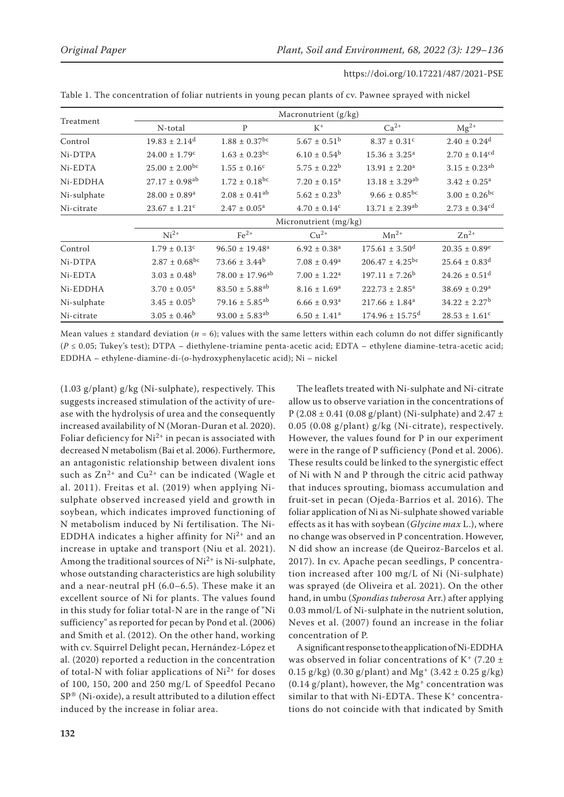|             | Macronutrient (g/kg)           |                                 |                              |                                 |                               |  |  |  |
|-------------|--------------------------------|---------------------------------|------------------------------|---------------------------------|-------------------------------|--|--|--|
| Treatment   | N-total                        | $\mathbf{P}$                    | $K^+$                        | $Ca^{2+}$                       | $Mg^{2+}$                     |  |  |  |
| Control     | $19.83 \pm 2.14^d$             | $1.88 \pm 0.37$ <sup>bc</sup>   | $5.67 \pm 0.51^{\rm b}$      | $8.37 \pm 0.31$ <sup>c</sup>    | $2.40 \pm 0.24$ <sup>d</sup>  |  |  |  |
| Ni-DTPA     | $24.00 \pm 1.79$ <sup>c</sup>  | $1.63 \pm 0.23$ <sup>bc</sup>   | $6.10 \pm 0.54^b$            | $15.36 \pm 3.25^{\circ}$        | $2.70 \pm 0.14^{cd}$          |  |  |  |
| Ni-EDTA     | $25.00 \pm 2.00^{bc}$          | $1.55 \pm 0.16^c$               | $5.75 \pm 0.22^b$            | $13.91 \pm 2.20^a$              | $3.15 \pm 0.23$ <sup>ab</sup> |  |  |  |
| Ni-EDDHA    | $27.17 \pm 0.98$ <sup>ab</sup> | $1.72 \pm 0.18$ <sup>bc</sup>   | $7.20 \pm 0.15^a$            | $13.18 \pm 3.29$ <sup>ab</sup>  | $3.42 \pm 0.25^a$             |  |  |  |
| Ni-sulphate | $28.00 \pm 0.89$ <sup>a</sup>  | $2.08 \pm 0.41$ <sup>ab</sup>   | $5.62 \pm 0.23^b$            | $9.66 \pm 0.85^{bc}$            | $3.00 \pm 0.26$ <sup>bc</sup> |  |  |  |
| Ni-citrate  | $23.67 \pm 1.21$ <sup>c</sup>  | $2.47 \pm 0.05^a$               | $4.70 \pm 0.14$ <sup>c</sup> | $13.71 \pm 2.39$ <sup>ab</sup>  | $2.73 \pm 0.34$ <sup>cd</sup> |  |  |  |
|             |                                | Micronutrient (mg/kg)           |                              |                                 |                               |  |  |  |
|             | $Ni2+$                         | $Fe2+$                          | $Cu2+$                       | $Mn^{2+}$                       | $Zn^{2+}$                     |  |  |  |
| Control     | $1.79 \pm 0.13$ <sup>c</sup>   | $96.50 \pm 19.48$ <sup>a</sup>  | $6.92 \pm 0.38$ <sup>a</sup> | $175.61 \pm 3.50$ <sup>d</sup>  | $20.35 \pm 0.89^e$            |  |  |  |
| Ni-DTPA     | $2.87 \pm 0.68$ <sup>bc</sup>  | $73.66 \pm 3.44^b$              | $7.08 \pm 0.49$ <sup>a</sup> | $206.47 \pm 4.25^{\rm bc}$      | $25.64 \pm 0.83^{\rm d}$      |  |  |  |
| Ni-EDTA     | $3.03 \pm 0.48^b$              | $78.00 \pm 17.96$ <sup>ab</sup> | $7.00 \pm 1.22^a$            | $197.11 \pm 7.26^b$             | $24.26 \pm 0.51$ <sup>d</sup> |  |  |  |
| Ni-EDDHA    | $3.70 \pm 0.05^a$              | $83.50 \pm 5.88$ <sup>ab</sup>  | $8.16 \pm 1.69^{\rm a}$      | $222.73 \pm 2.85^a$             | $38.69 \pm 0.29$ <sup>a</sup> |  |  |  |
| Ni-sulphate | $3.45 \pm 0.05^{\rm b}$        | $79.16 \pm 5.85$ <sup>ab</sup>  | $6.66 \pm 0.93$ <sup>a</sup> | $217.66 \pm 1.84$ <sup>a</sup>  | $34.22 \pm 2.27^b$            |  |  |  |
| Ni-citrate  | $3.05 \pm 0.46^b$              | $93.00 \pm 5.83$ <sup>ab</sup>  | $6.50 \pm 1.41$ <sup>a</sup> | $174.96 \pm 15.75$ <sup>d</sup> | $28.53 \pm 1.61$ <sup>c</sup> |  |  |  |

Table 1. The concentration of foliar nutrients in young pecan plants of cv. Pawnee sprayed with nickel

Mean values  $\pm$  standard deviation ( $n = 6$ ); values with the same letters within each column do not differ significantly (*P* ≤ 0.05; Tukey's test); DTPA – diethylene-triamine penta-acetic acid; EDTA – ethylene diamine-tetra-acetic acid; EDDHA – ethylene-diamine-di-(o-hydroxyphenylacetic acid); Ni – nickel

(1.03 g/plant) g/kg (Ni-sulphate), respectively. This suggests increased stimulation of the activity of urease with the hydrolysis of urea and the consequently increased availability of N (Moran-Duran et al. 2020). Foliar deficiency for  $Ni^{2+}$  in pecan is associated with decreased N metabolism (Bai et al. 2006). Furthermore, an antagonistic relationship between divalent ions such as  $Zn^{2+}$  and  $Cu^{2+}$  can be indicated (Wagle et al. 2011). Freitas et al. (2019) when applying Nisulphate observed increased yield and growth in soybean, which indicates improved functioning of N metabolism induced by Ni fertilisation. The Ni-EDDHA indicates a higher affinity for  $Ni<sup>2+</sup>$  and an increase in uptake and transport (Niu et al. 2021). Among the traditional sources of  $Ni<sup>2+</sup>$  is Ni-sulphate, whose outstanding characteristics are high solubility and a near-neutral pH (6.0–6.5). These make it an excellent source of Ni for plants. The values found in this study for foliar total-N are in the range of "Ni sufficiency" as reported for pecan by Pond et al. (2006) and Smith et al. (2012). On the other hand, working with cv. Squirrel Delight pecan, Hernández-López et al. (2020) reported a reduction in the concentration of total-N with foliar applications of  $Ni<sup>2+</sup>$  for doses of 100, 150, 200 and 250 mg/L of Speedfol Pecano  $SP^{\circledast}$  (Ni-oxide), a result attributed to a dilution effect induced by the increase in foliar area.

The leaflets treated with Ni-sulphate and Ni-citrate allow us to observe variation in the concentrations of P (2.08  $\pm$  0.41 (0.08 g/plant) (Ni-sulphate) and 2.47  $\pm$ 0.05 (0.08 g/plant) g/kg (Ni-citrate), respectively. However, the values found for P in our experiment were in the range of P sufficiency (Pond et al. 2006). These results could be linked to the synergistic effect of Ni with N and P through the citric acid pathway that induces sprouting, biomass accumulation and fruit-set in pecan (Ojeda-Barrios et al. 2016). The foliar application of Ni as Ni-sulphate showed variable effects as it has with soybean (*Glycine max* L.), where no change was observed in P concentration. However, N did show an increase (de Queiroz-Barcelos et al. 2017). In cv. Apache pecan seedlings, P concentration increased after 100 mg/L of Ni (Ni-sulphate) was sprayed (de Oliveira et al. 2021). On the other hand, in umbu (*Spondias tuberosa* Arr.) after applying 0.03 mmol/L of Ni-sulphate in the nutrient solution, Neves et al. (2007) found an increase in the foliar concentration of P.

A significant response to the application of Ni-EDDHA was observed in foliar concentrations of K<sup>+</sup> (7.20  $\pm$ 0.15 g/kg) (0.30 g/plant) and Mg<sup>+</sup> (3.42  $\pm$  0.25 g/kg)  $(0.14 \text{ g/plant})$ , however, the Mg<sup>+</sup> concentration was similar to that with Ni-EDTA. These  $K^+$  concentrations do not coincide with that indicated by Smith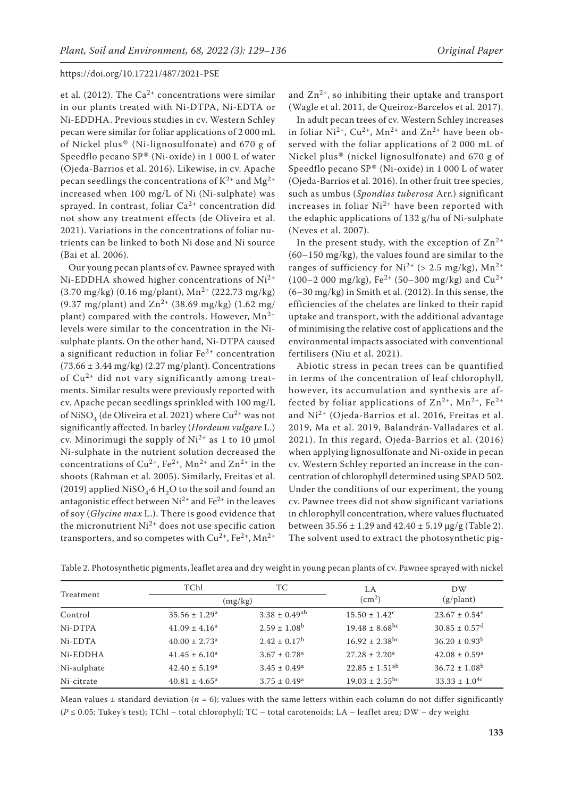et al. (2012). The  $Ca^{2+}$  concentrations were similar in our plants treated with Ni-DTPA, Ni-EDTA or Ni-EDDHA. Previous studies in cv. Western Schley pecan were similar for foliar applications of 2 000 mL of Nickel plus® (Ni-lignosulfonate) and 670 g of Speedflo pecano SP® (Ni-oxide) in 1 000 L of water (Ojeda-Barrios et al. 2016). Likewise, in cv. Apache pecan seedlings the concentrations of  $K^{2+}$  and  $Mg^{2+}$ increased when 100 mg/L of Ni (Ni-sulphate) was sprayed. In contrast, foliar  $Ca^{2+}$  concentration did not show any treatment effects (de Oliveira et al. 2021). Variations in the concentrations of foliar nutrients can be linked to both Ni dose and Ni source (Bai et al. 2006).

Our young pecan plants of cv. Pawnee sprayed with Ni-EDDHA showed higher concentrations of Ni2+  $(3.70 \text{ mg/kg})$   $(0.16 \text{ mg/plant})$ ,  $\text{Mn}^{2+}$   $(222.73 \text{ mg/kg})$ (9.37 mg/plant) and  $Zn^{2+}$  (38.69 mg/kg) (1.62 mg/ plant) compared with the controls. However,  $Mn^{2+}$ levels were similar to the concentration in the Nisulphate plants. On the other hand, Ni-DTPA caused a significant reduction in foliar  $Fe<sup>2+</sup>$  concentration  $(73.66 \pm 3.44 \text{ mg/kg})$   $(2.27 \text{ mg/plant})$ . Concentrations of Cu2+ did not vary significantly among treatments. Similar results were previously reported with cv. Apache pecan seedlings sprinkled with 100 mg/L of NiSO<sub>4</sub> (de Oliveira et al. 2021) where Cu<sup>2+</sup> was not significantly affected. In barley (*Hordeum vulgare* L.) cv. Minorimugi the supply of Ni2+ as 1 to 10 μmol Ni-sulphate in the nutrient solution decreased the concentrations of  $Cu^{2+}$ ,  $Fe^{2+}$ ,  $Mn^{2+}$  and  $Zn^{2+}$  in the shoots (Rahman et al. 2005). Similarly, Freitas et al. (2019) applied NiSO<sub>4</sub>∙6 H<sub>2</sub>O to the soil and found an antagonistic effect between  $Ni^{2+}$  and  $Fe^{2+}$  in the leaves of soy (*Glycine max* L.). There is good evidence that the micronutrient  $Ni^{2+}$  does not use specific cation transporters, and so competes with  $Cu^{2+}$ ,  $Fe^{2+}$ ,  $Mn^{2+}$ 

and  $\text{Zn}^{2+}$ , so inhibiting their uptake and transport (Wagle et al. 2011, de Queiroz-Barcelos et al. 2017).

In adult pecan trees of cv. Western Schley increases in foliar  $Ni^{2+}$ ,  $Cu^{2+}$ ,  $Mn^{2+}$  and  $Zn^{2+}$  have been observed with the foliar applications of 2 000 mL of Nickel plus® (nickel lignosulfonate) and 670 g of Speedflo pecano SP® (Ni-oxide) in 1 000 L of water (Ojeda-Barrios et al. 2016). In other fruit tree species, such as umbus (*Spondias tuberosa* Arr.) significant increases in foliar  $Ni^{2+}$  have been reported with the edaphic applications of 132 g/ha of Ni-sulphate (Neves et al. 2007).

In the present study, with the exception of  $\text{Zn}^{2+}$ (60–150 mg/kg), the values found are similar to the ranges of sufficiency for  $Ni^{2+}$  (> 2.5 mg/kg),  $Mn^{2+}$ (100–2 000 mg/kg), Fe<sup>2+</sup> (50–300 mg/kg) and Cu<sup>2+</sup> (6–30 mg/kg) in Smith et al. (2012). In this sense, the efficiencies of the chelates are linked to their rapid uptake and transport, with the additional advantage of minimising the relative cost of applications and the environmental impacts associated with conventional fertilisers (Niu et al. 2021).

Abiotic stress in pecan trees can be quantified in terms of the concentration of leaf chlorophyll, however, its accumulation and synthesis are affected by foliar applications of  $\text{Zn}^{2+}$ ,  $\text{Mn}^{2+}$ ,  $\text{Fe}^{2+}$ and Ni2+ (Ojeda-Barrios et al. 2016, Freitas et al. 2019, Ma et al. 2019, Balandrán-Valladares et al. 2021). In this regard, Ojeda-Barrios et al. (2016) when applying lignosulfonate and Ni-oxide in pecan cv. Western Schley reported an increase in the concentration of chlorophyll determined using SPAD 502. Under the conditions of our experiment, the young cv. Pawnee trees did not show significant variations in chlorophyll concentration, where values fluctuated between  $35.56 \pm 1.29$  and  $42.40 \pm 5.19$  µg/g (Table 2). The solvent used to extract the photosynthetic pig-

| Treatment   | TChl                          | TC                            | LA                             | DW                            |
|-------------|-------------------------------|-------------------------------|--------------------------------|-------------------------------|
|             | (mg/kg)                       |                               | $\rm (cm^2)$                   | (g/plant)                     |
| Control     | $35.56 \pm 1.29^{\circ}$      | $3.38 \pm 0.49$ <sup>ab</sup> | $15.50 \pm 1.42^{\circ}$       | $23.67 \pm 0.54^e$            |
| Ni-DTPA     | $41.09 \pm 4.16^a$            | $2.59 \pm 1.08^{\rm b}$       | $19.48 \pm 8.68$ <sup>bc</sup> | $30.85 \pm 0.57$ <sup>d</sup> |
| Ni-EDTA     | $40.00 \pm 2.73$ <sup>a</sup> | $2.42 + 0.17^b$               | $16.92 + 2.38$ <sup>bc</sup>   | $36.20 \pm 0.93^{\rm b}$      |
| Ni-EDDHA    | $41.45 \pm 6.10^a$            | $3.67 \pm 0.78$ <sup>a</sup>  | $27.28 \pm 2.20^a$             | $42.08 \pm 0.59$ <sup>a</sup> |
| Ni-sulphate | $42.40 \pm 5.19^{\circ}$      | $3.45 \pm 0.49^a$             | $22.85 \pm 1.51$ <sup>ab</sup> | $36.72 \pm 1.08^{\circ}$      |
| Ni-citrate  | $40.81 \pm 4.65^{\circ}$      | $3.75 \pm 0.49^a$             | $19.03 \pm 2.55$ <sup>bc</sup> | $33.33 \pm 1.0^{4c}$          |

Table 2. Photosynthetic pigments, leaflet area and dry weight in young pecan plants of cv. Pawnee sprayed with nickel

Mean values  $\pm$  standard deviation ( $n = 6$ ); values with the same letters within each column do not differ significantly (*P* ≤ 0.05; Tukey's test); TChl – total chlorophyll; TC – total carotenoids; LA – leaflet area; DW – dry weight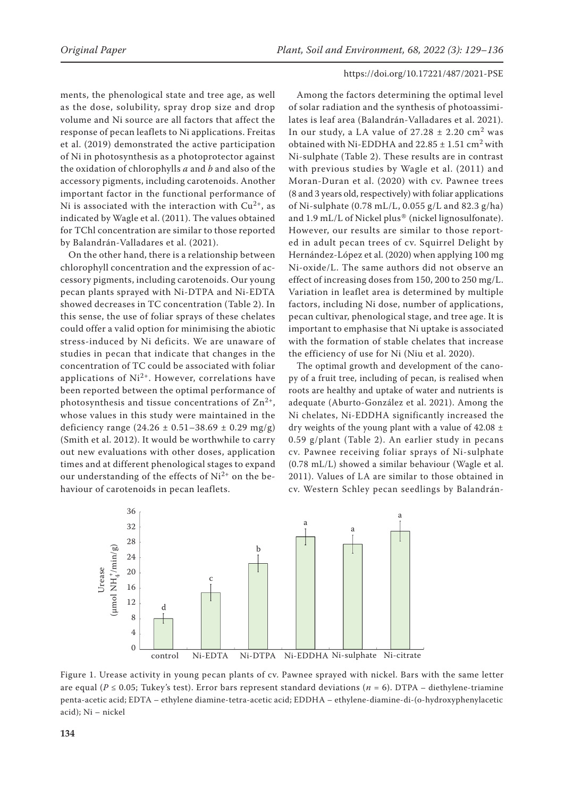ments, the phenological state and tree age, as well as the dose, solubility, spray drop size and drop volume and Ni source are all factors that affect the response of pecan leaflets to Ni applications. Freitas et al. (2019) demonstrated the active participation of Ni in photosynthesis as a photoprotector against the oxidation of chlorophylls *a* and *b* and also of the accessory pigments, including carotenoids. Another important factor in the functional performance of Ni is associated with the interaction with  $Cu^{2+}$ , as indicated by Wagle et al. (2011). The values obtained for TChl concentration are similar to those reported by Balandrán-Valladares et al. (2021).

On the other hand, there is a relationship between chlorophyll concentration and the expression of accessory pigments, including carotenoids. Our young pecan plants sprayed with Ni-DTPA and Ni-EDTA showed decreases in TC concentration (Table 2). In this sense, the use of foliar sprays of these chelates could offer a valid option for minimising the abiotic stress-induced by Ni deficits. We are unaware of studies in pecan that indicate that changes in the concentration of TC could be associated with foliar applications of  $Ni<sup>2+</sup>$ . However, correlations have been reported between the optimal performance of photosynthesis and tissue concentrations of  $\text{Zn}^{2+}$ , whose values in this study were maintained in the deficiency range  $(24.26 \pm 0.51 - 38.69 \pm 0.29 \text{ mg/g})$ (Smith et al. 2012). It would be worthwhile to carry out new evaluations with other doses, application times and at different phenological stages to expand our understanding of the effects of  $Ni^{2+}$  on the behaviour of carotenoids in pecan leaflets.

Among the factors determining the optimal level of solar radiation and the synthesis of photoassimilates is leaf area (Balandrán-Valladares et al. 2021). In our study, a LA value of  $27.28 \pm 2.20$  cm<sup>2</sup> was obtained with Ni-EDDHA and  $22.85 \pm 1.51$  cm<sup>2</sup> with Ni-sulphate (Table 2). These results are in contrast with previous studies by Wagle et al. (2011) and Moran-Duran et al. (2020) with cv. Pawnee trees (8 and 3 years old, respectively) with foliar applications of Ni-sulphate (0.78 mL/L, 0.055 g/L and 82.3 g/ha) and 1.9 mL/L of Nickel plus® (nickel lignosulfonate). However, our results are similar to those reported in adult pecan trees of cv. Squirrel Delight by Hernández-López et al. (2020) when applying 100 mg Ni-oxide/L. The same authors did not observe an effect of increasing doses from 150, 200 to 250 mg/L. Variation in leaflet area is determined by multiple factors, including Ni dose, number of applications, pecan cultivar, phenological stage, and tree age. It is important to emphasise that Ni uptake is associated with the formation of stable chelates that increase the efficiency of use for Ni (Niu et al. 2020).

The optimal growth and development of the canopy of a fruit tree, including of pecan, is realised when roots are healthy and uptake of water and nutrients is adequate (Aburto-González et al. 2021). Among the Ni chelates, Ni-EDDHA significantly increased the dry weights of the young plant with a value of  $42.08 \pm$ 0.59 g/plant (Table 2). An earlier study in pecans cv. Pawnee receiving foliar sprays of Ni-sulphate (0.78 mL/L) showed a similar behaviour (Wagle et al. 2011). Values of LA are similar to those obtained in cv. Western Schley pecan seedlings by Balandrán-



Figure 1. Urease activity in young pecan plants of cv. Pawnee sprayed with nickel. Bars with the same letter are equal ( $P \le 0.05$ ; Tukey's test). Error bars represent standard deviations ( $n = 6$ ). DTPA – diethylene-triamine penta-acetic acid; EDTA – ethylene diamine-tetra-acetic acid; EDDHA – ethylene-diamine-di-(o-hydroxyphenylacetic acid); Ni – nickel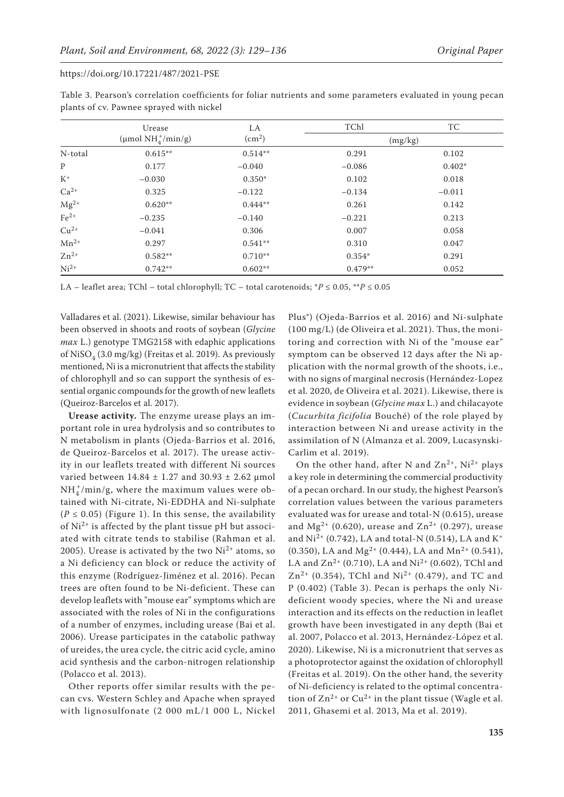|           | Urease                        | LA                 | TChl      | TC       |
|-----------|-------------------------------|--------------------|-----------|----------|
|           | (µmol $NH_4^+/\text{min/g}$ ) | (cm <sup>2</sup> ) | (mg/kg)   |          |
| N-total   | $0.615**$                     | $0.514**$          | 0.291     | 0.102    |
| P         | 0.177                         | $-0.040$           | $-0.086$  | $0.402*$ |
| $K^+$     | $-0.030$                      | $0.350*$           | 0.102     | 0.018    |
| $Ca2+$    | 0.325                         | $-0.122$           | $-0.134$  | $-0.011$ |
| $Mg^{2+}$ | $0.620**$                     | $0.444**$          | 0.261     | 0.142    |
| $Fe2+$    | $-0.235$                      | $-0.140$           | $-0.221$  | 0.213    |
| $Cu^{2+}$ | $-0.041$                      | 0.306              | 0.007     | 0.058    |
| $Mn^{2+}$ | 0.297                         | $0.541**$          | 0.310     | 0.047    |
| $Zn^{2+}$ | $0.582**$                     | $0.710**$          | $0.354*$  | 0.291    |
| $Ni2+$    | $0.742**$                     | $0.602**$          | $0.479**$ | 0.052    |

Table 3. Pearson's correlation coefficients for foliar nutrients and some parameters evaluated in young pecan plants of cv. Pawnee sprayed with nickel

LA – leaflet area; TChl – total chlorophyll; TC – total carotenoids;  $P \le 0.05$ ,  $*P \le 0.05$ 

Valladares et al. (2021). Likewise, similar behaviour has been observed in shoots and roots of soybean (*Glycine max* L.) genotype TMG2158 with edaphic applications of NiSO<sub>4</sub> (3.0 mg/kg) (Freitas et al. 2019). As previously mentioned, Ni is a micronutrient that affects the stability of chlorophyll and so can support the synthesis of essential organic compounds for the growth of new leaflets (Queiroz-Barcelos et al. 2017).

**Urease activity.** The enzyme urease plays an important role in urea hydrolysis and so contributes to N metabolism in plants (Ojeda-Barrios et al. 2016, de Queiroz-Barcelos et al. 2017). The urease activity in our leaflets treated with different Ni sources varied between  $14.84 \pm 1.27$  and  $30.93 \pm 2.62$  µmol  $NH_4^+/\text{min/g}$ , where the maximum values were obtained with Ni-citrate, Ni-EDDHA and Ni-sulphate  $(P \le 0.05)$  (Figure 1). In this sense, the availability of  $Ni<sup>2+</sup>$  is affected by the plant tissue pH but associated with citrate tends to stabilise (Rahman et al. 2005). Urease is activated by the two  $Ni^{2+}$  atoms, so a Ni deficiency can block or reduce the activity of this enzyme (Rodríguez-Jiménez et al. 2016). Pecan trees are often found to be Ni-deficient. These can develop leaflets with "mouse ear" symptoms which are associated with the roles of Ni in the configurations of a number of enzymes, including urease (Bai et al. 2006). Urease participates in the catabolic pathway of ureides, the urea cycle, the citric acid cycle, amino acid synthesis and the carbon-nitrogen relationship (Polacco et al. 2013).

Other reports offer similar results with the pecan cvs. Western Schley and Apache when sprayed with lignosulfonate (2 000 mL/1 000 L, Nickel Plus®) (Ojeda-Barrios et al. 2016) and Ni-sulphate (100 mg/L) (de Oliveira et al. 2021). Thus, the monitoring and correction with Ni of the "mouse ear" symptom can be observed 12 days after the Ni application with the normal growth of the shoots, i.e., with no signs of marginal necrosis (Hernández-Lopez et al. 2020, de Oliveira et al. 2021). Likewise, there is evidence in soybean (*Glycine max* L.) and chilacayote (*Cucurbita ficifolia* Bouché) of the role played by interaction between Ni and urease activity in the assimilation of N (Almanza et al. 2009, Lucasynski-Carlim et al. 2019).

On the other hand, after N and  $Zn^{2+}$ , Ni<sup>2+</sup> plays a key role in determining the commercial productivity of a pecan orchard. In our study, the highest Pearson's correlation values between the various parameters evaluated was for urease and total-N (0.615), urease and Mg<sup>2+</sup> (0.620), urease and  $Zn^{2+}$  (0.297), urease and  $Ni^{2+}$  (0.742), LA and total-N (0.514), LA and K<sup>+</sup> (0.350), LA and Mg<sup>2+</sup> (0.444), LA and Mn<sup>2+</sup> (0.541), LA and  $Zn^{2+}$  (0.710), LA and Ni<sup>2+</sup> (0.602), TChl and  $Zn^{2+}$  (0.354), TChl and Ni<sup>2+</sup> (0.479), and TC and P (0.402) (Table 3). Pecan is perhaps the only Nideficient woody species, where the Ni and urease interaction and its effects on the reduction in leaflet growth have been investigated in any depth (Bai et al. 2007, Polacco et al. 2013, Hernández-López et al. 2020). Likewise, Ni is a micronutrient that serves as a photoprotector against the oxidation of chlorophyll (Freitas et al. 2019). On the other hand, the severity of Ni-deficiency is related to the optimal concentration of  $\text{Zn}^{2+}$  or  $\text{Cu}^{2+}$  in the plant tissue (Wagle et al. 2011, Ghasemi et al. 2013, Ma et al. 2019).